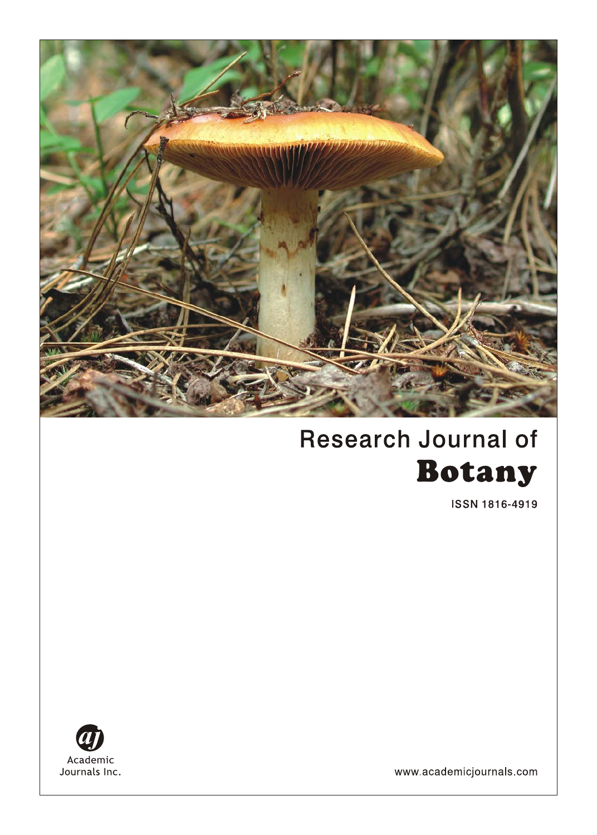

# **Research Journal of Botany**

**ISSN 1816-4919** 



www.academicjournals.com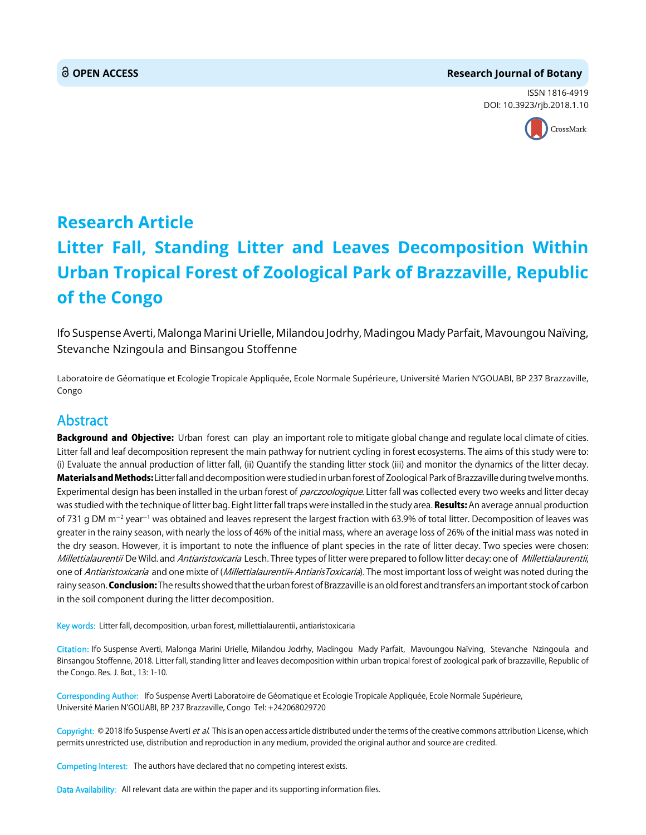#### **OPEN ACCESS Research Journal of Botany**

ISSN 1816-4919 DOI: 10.3923/rjb.2018.1.10



## **Research Article Litter Fall, Standing Litter and Leaves Decomposition Within Urban Tropical Forest of Zoological Park of Brazzaville, Republic of the Congo**

Ifo Suspense Averti, Malonga Marini Urielle, Milandou Jodrhy, Madingou Mady Parfait, Mavoungou Naïving, Stevanche Nzingoula and Binsangou Stoffenne

Laboratoire de Géomatique et Ecologie Tropicale Appliquée, Ecole Normale Supérieure, Université Marien N'GOUABI, BP 237 Brazzaville, Congo

### Abstract

Background and Objective: Urban forest can play an important role to mitigate global change and regulate local climate of cities. Litter fall and leaf decomposition represent the main pathway for nutrient cycling in forest ecosystems. The aims of this study were to: (i) Evaluate the annual production of litter fall, (ii) Quantify the standing litter stock (iii) and monitor the dynamics of the litter decay. Materials and Methods: Litter fall and decomposition were studied in urban forest of Zoological Park of Brazzaville during twelve months. Experimental design has been installed in the urban forest of parczoologique. Litter fall was collected every two weeks and litter decay was studied with the technique of litter bag. Eight litter fall traps were installed in the study area. Results: An average annual production of 731 g DM m<sup>-2</sup> year<sup>-1</sup> was obtained and leaves represent the largest fraction with 63.9% of total litter. Decomposition of leaves was greater in the rainy season, with nearly the loss of 46% of the initial mass, where an average loss of 26% of the initial mass was noted in the dry season. However, it is important to note the influence of plant species in the rate of litter decay. Two species were chosen: Millettialaurentii De Wild. and Antiaristoxicaria Lesch. Three types of litter were prepared to follow litter decay: one of Millettialaurentii, one of Antiaristoxicaria and one mixte of (Millettialaurenti<sub>th</sub> AntiarisToxicaria). The most important loss of weight was noted during the rainy season. Conclusion: The results showed that the urban forest of Brazzaville is an old forest and transfers an important stock of carbon in the soil component during the litter decomposition.

Key words: Litter fall, decomposition, urban forest, millettialaurentii, antiaristoxicaria

Citation: Ifo Suspense Averti, Malonga Marini Urielle, Milandou Jodrhy, Madingou Mady Parfait, Mavoungou Naïving, Stevanche Nzingoula and Binsangou Stoffenne, 2018. Litter fall, standing litter and leaves decomposition within urban tropical forest of zoological park of brazzaville, Republic of the Congo. Res. J. Bot., 13: 1-10.

Corresponding Author: Ifo Suspense Averti Laboratoire de Géomatique et Ecologie Tropicale Appliquée, Ecole Normale Supérieure, Université Marien N'GOUABI, BP 237 Brazzaville, Congo Tel: +242068029720

Copyright: © 2018 Ifo Suspense Averti et al. This is an open access article distributed under the terms of the creative commons attribution License, which permits unrestricted use, distribution and reproduction in any medium, provided the original author and source are credited.

Competing Interest: The authors have declared that no competing interest exists.

Data Availability: All relevant data are within the paper and its supporting information files.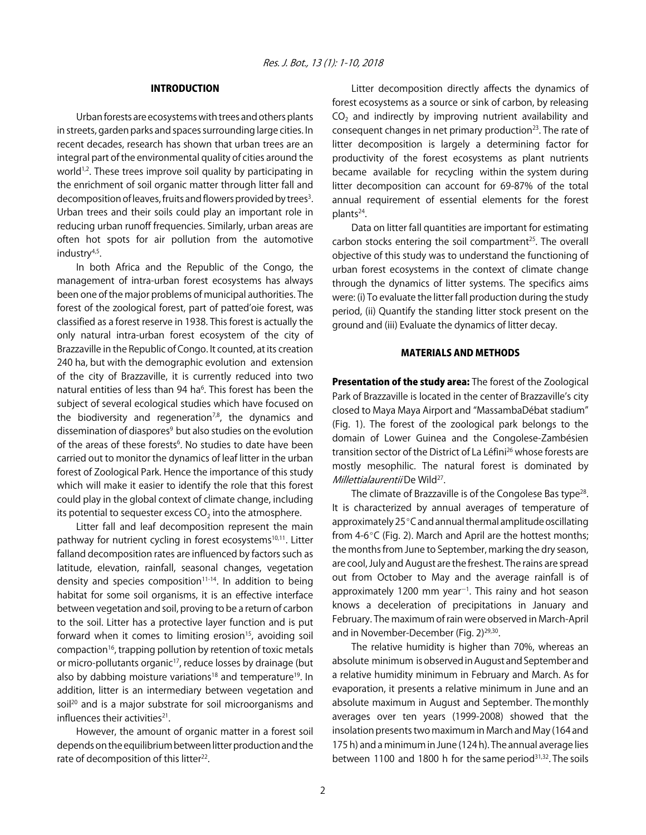#### INTRODUCTION

Urban forests are ecosystems with trees and others plants in streets, garden parks and spaces surrounding large cities. In recent decades, research has shown that urban trees are an integral part of the environmental quality of cities around the world<sup>1,2</sup>. These trees improve soil quality by participating in the enrichment of soil organic matter through litter fall and decomposition of leaves, fruits and flowers provided by trees<sup>3</sup>. Urban trees and their soils could play an important role in reducing urban runoff frequencies. Similarly, urban areas are often hot spots for air pollution from the automotive industry<sup>4,5</sup>.

In both Africa and the Republic of the Congo, the management of intra-urban forest ecosystems has always been one of the major problems of municipal authorities. The forest of the zoological forest, part of patted'oie forest, was classified as a forest reserve in 1938. This forest is actually the only natural intra-urban forest ecosystem of the city of Brazzaville in the Republic of Congo. It counted, at its creation 240 ha, but with the demographic evolution and extension of the city of Brazzaville, it is currently reduced into two natural entities of less than 94 ha<sup>6</sup>. This forest has been the subject of several ecological studies which have focused on the biodiversity and regeneration<sup>7,8</sup>, the dynamics and dissemination of diaspores<sup>9</sup> but also studies on the evolution of the areas of these forests<sup>6</sup>. No studies to date have been carried out to monitor the dynamics of leaf litter in the urban forest of Zoological Park. Hence the importance of this study which will make it easier to identify the role that this forest could play in the global context of climate change, including its potential to sequester excess  $CO<sub>2</sub>$  into the atmosphere.

Litter fall and leaf decomposition represent the main pathway for nutrient cycling in forest ecosystems<sup>10,11</sup>. Litter falland decomposition rates are influenced by factors such as latitude, elevation, rainfall, seasonal changes, vegetation density and species composition<sup>11-14</sup>. In addition to being habitat for some soil organisms, it is an effective interface between vegetation and soil, proving to be a return of carbon to the soil. Litter has a protective layer function and is put forward when it comes to limiting erosion<sup>15</sup>, avoiding soil compaction<sup>16</sup>, trapping pollution by retention of toxic metals or micro-pollutants organic<sup>17</sup>, reduce losses by drainage (but also by dabbing moisture variations<sup>18</sup> and temperature<sup>19</sup>. In addition, litter is an intermediary between vegetation and soil<sup>20</sup> and is a major substrate for soil microorganisms and influences their activities $21$ .

However, the amount of organic matter in a forest soil depends on the equilibrium between litter production and the rate of decomposition of this litter<sup>22</sup>.

Litter decomposition directly affects the dynamics of forest ecosystems as a source or sink of carbon, by releasing  $CO<sub>2</sub>$  and indirectly by improving nutrient availability and consequent changes in net primary production $23$ . The rate of litter decomposition is largely a determining factor for productivity of the forest ecosystems as plant nutrients became available for recycling within the system during litter decomposition can account for 69-87% of the total annual requirement of essential elements for the forest plants<sup>24</sup>.

Data on litter fall quantities are important for estimating carbon stocks entering the soil compartment<sup>25</sup>. The overall objective of this study was to understand the functioning of urban forest ecosystems in the context of climate change through the dynamics of litter systems. The specifics aims were: (i) To evaluate the litter fall production during the study period, (ii) Quantify the standing litter stock present on the ground and (iii) Evaluate the dynamics of litter decay.

#### MATERIALS AND METHODS

Presentation of the study area: The forest of the Zoological Park of Brazzaville is located in the center of Brazzaville's city closed to Maya Maya Airport and "MassambaDébat stadium" (Fig. 1). The forest of the zoological park belongs to the domain of Lower Guinea and the Congolese-Zambésien transition sector of the District of La Léfini<sup>26</sup> whose forests are mostly mesophilic. The natural forest is dominated by Millettialaurentii De Wild<sup>27</sup>.

The climate of Brazzaville is of the Congolese Bas type<sup>28</sup>. It is characterized by annual averages of temperature of approximately  $25^{\circ}$ C and annual thermal amplitude oscillating from  $4-6^{\circ}$ C (Fig. 2). March and April are the hottest months; the months from June to September, marking the dry season, are cool, July and August are the freshest. The rains are spread out from October to May and the average rainfall is of approximately 1200 mm year $^{-1}$ . This rainy and hot season knows a deceleration of precipitations in January and February. The maximum of rain were observed in March-April and in November-December (Fig. 2)<sup>29,30</sup>.

The relative humidity is higher than 70%, whereas an absolute minimum is observed in August and September and a relative humidity minimum in February and March. As for evaporation, it presents a relative minimum in June and an absolute maximum in August and September. The monthly averages over ten years (1999-2008) showed that the insolation presents two maximum in March and May (164 and 175 h) and a minimum in June (124 h). The annual average lies between 1100 and 1800 h for the same period $31,32$ . The soils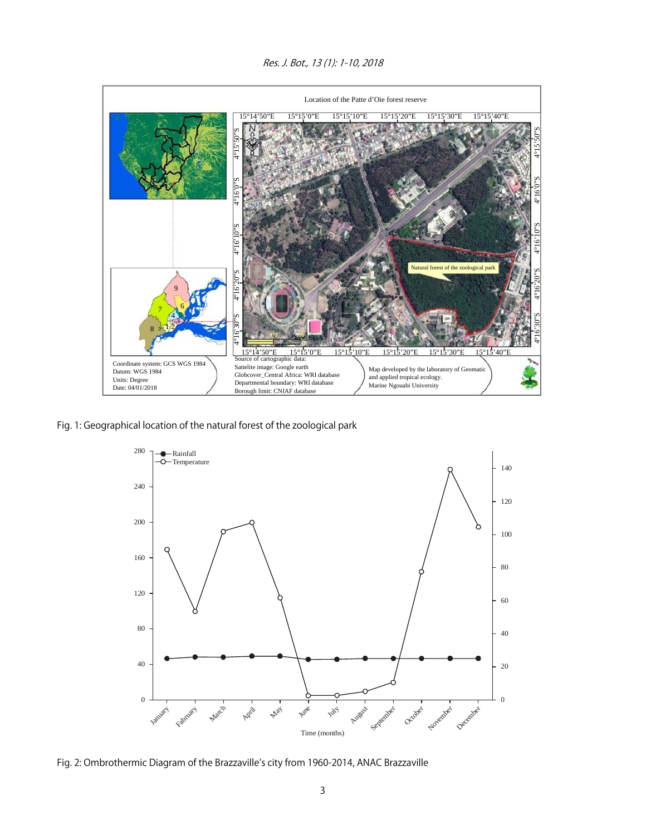Res. J. Bot., 13 (1): 1-10, 2018



Fig. 1: Geographical location of the natural forest of the zoological park



Fig. 2: Ombrothermic Diagram of the Brazzaville's city from 1960-2014, ANAC Brazzaville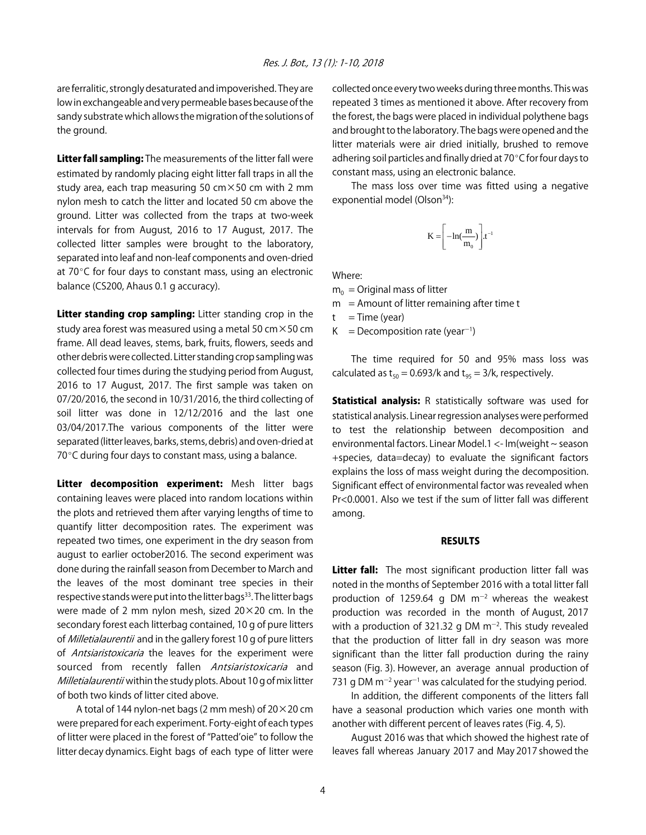are ferralitic, strongly desaturated and impoverished. They are low in exchangeable and very permeable bases because of the sandy substrate which allows the migration of the solutions of the ground.

Litter fall sampling: The measurements of the litter fall were estimated by randomly placing eight litter fall traps in all the study area, each trap measuring 50  $cm \times 50$  cm with 2 mm nylon mesh to catch the litter and located 50 cm above the ground. Litter was collected from the traps at two-week intervals for from August, 2016 to 17 August, 2017. The collected litter samples were brought to the laboratory, separated into leaf and non-leaf components and oven-dried at  $70^{\circ}$ C for four days to constant mass, using an electronic balance (CS200, Ahaus 0.1 g accuracy).

Litter standing crop sampling: Litter standing crop in the study area forest was measured using a metal 50  $\text{cm} \times$ 50 cm frame. All dead leaves, stems, bark, fruits, flowers, seeds and other debris were collected. Litter standing crop sampling was collected four times during the studying period from August, 2016 to 17 August, 2017. The first sample was taken on 07/20/2016, the second in 10/31/2016, the third collecting of soil litter was done in 12/12/2016 and the last one 03/04/2017.The various components of the litter were separated (litter leaves, barks, stems, debris) and oven-dried at  $70^{\circ}$ C during four days to constant mass, using a balance.

Litter decomposition experiment: Mesh litter bags containing leaves were placed into random locations within the plots and retrieved them after varying lengths of time to quantify litter decomposition rates. The experiment was repeated two times, one experiment in the dry season from august to earlier october2016. The second experiment was done during the rainfall season from December to March and the leaves of the most dominant tree species in their respective stands were put into the litter bags<sup>33</sup>. The litter bags were made of 2 mm nylon mesh, sized 20×20 cm. In the secondary forest each litterbag contained, 10 g of pure litters of *Milletialaurentii* and in the gallery forest 10 g of pure litters of *Antsiaristoxicaria* the leaves for the experiment were sourced from recently fallen Antsiaristoxicaria and Milletialaurentii within the study plots. About 10 g of mix litter of both two kinds of litter cited above.

A total of 144 nylon-net bags (2 mm mesh) of  $20 \times 20$  cm were prepared for each experiment. Forty-eight of each types of litter were placed in the forest of "Patted'oie" to follow the litter decay dynamics. Eight bags of each type of litter were

collected once every two weeks during three months. This was repeated 3 times as mentioned it above. After recovery from the forest, the bags were placed in individual polythene bags and brought to the laboratory. The bags were opened and the litter materials were air dried initially, brushed to remove adhering soil particles and finally dried at  $70^{\circ}$ C for four days to constant mass, using an electronic balance.

The mass loss over time was fitted using a negative exponential model (Olson<sup>34</sup>):

$$
K=\!\!\left[-ln(\frac{m}{m_o})\right]\!.\!t^{-1}
$$

Where:

 $m_0$  = Original mass of litter

- $m =$  Amount of litter remaining after time t
- $t = Time (year)$
- $K =$  Decomposition rate (year<sup>-1</sup>)

The time required for 50 and 95% mass loss was calculated as  $t_{50} = 0.693/k$  and  $t_{95} = 3/k$ , respectively.

**Statistical analysis:** R statistically software was used for statistical analysis. Linear regression analyses were performed to test the relationship between decomposition and environmental factors. Linear Model.1 <- lm(weight ~ season +species, data=decay) to evaluate the significant factors explains the loss of mass weight during the decomposition. Significant effect of environmental factor was revealed when Pr<0.0001. Also we test if the sum of litter fall was different among.

#### RESULTS

Litter fall: The most significant production litter fall was noted in the months of September 2016 with a total litter fall production of 1259.64 g DM  $m^{-2}$  whereas the weakest production was recorded in the month of August, 2017 with a production of 321.32 g DM  $m^{-2}$ . This study revealed that the production of litter fall in dry season was more significant than the litter fall production during the rainy season (Fig. 3). However, an average annual production of 731 g DM  $m^{-2}$  year<sup>-1</sup> was calculated for the studying period.

In addition, the different components of the litters fall have a seasonal production which varies one month with another with different percent of leaves rates (Fig. 4, 5).

August 2016 was that which showed the highest rate of leaves fall whereas January 2017 and May 2017 showed the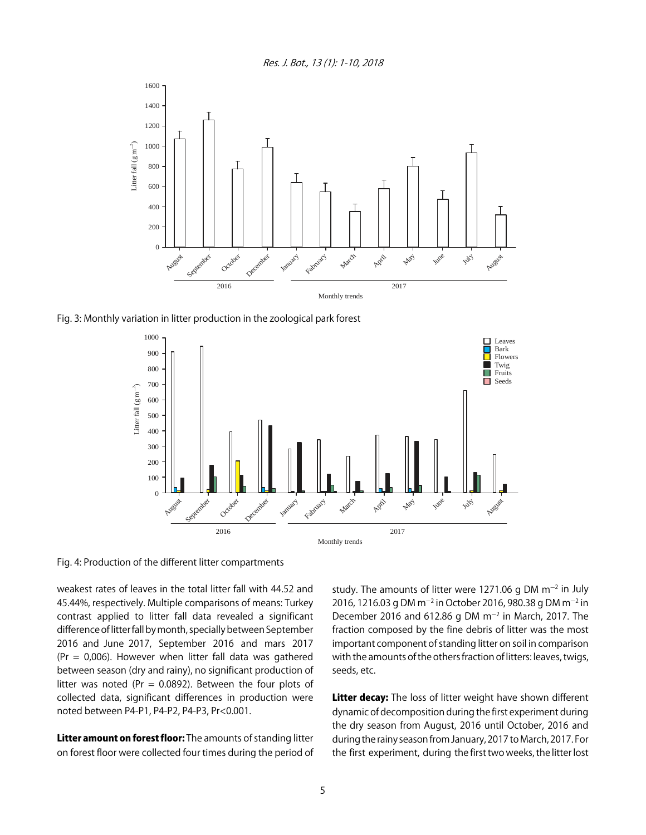Res. J. Bot., 13 (1): 1-10, 2018



Fig. 3: Monthly variation in litter production in the zoological park forest



Fig. 4: Production of the different litter compartments

weakest rates of leaves in the total litter fall with 44.52 and 45.44%, respectively. Multiple comparisons of means: Turkey contrast applied to litter fall data revealed a significant difference of litter fall by month, specially between September 2016 and June 2017, September 2016 and mars 2017 (Pr = 0,006). However when litter fall data was gathered between season (dry and rainy), no significant production of litter was noted (Pr = 0.0892). Between the four plots of collected data, significant differences in production were noted between P4-P1, P4-P2, P4-P3, Pr<0.001.

Litter amount on forest floor: The amounts of standing litter on forest floor were collected four times during the period of

study. The amounts of litter were 1271.06 g DM  $\text{m}$ <sup>-2</sup> in July 2016, 1216.03 g DM m<sup>-2</sup> in October 2016, 980.38 g DM m<sup>-2</sup> in December 2016 and 612.86 g DM  $m^{-2}$  in March, 2017. The fraction composed by the fine debris of litter was the most important component of standing litter on soil in comparison with the amounts of the others fraction of litters: leaves, twigs, seeds, etc.

Litter decay: The loss of litter weight have shown different dynamic of decomposition during the first experiment during the dry season from August, 2016 until October, 2016 and during the rainy season from January, 2017 to March, 2017. For the first experiment, during the first two weeks, the litter lost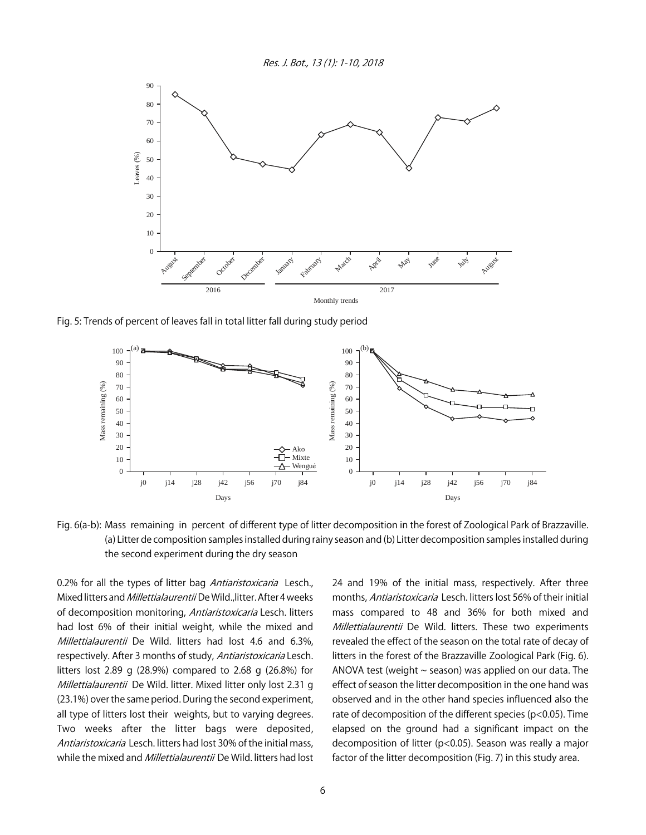Res. J. Bot., 13 (1): 1-10, 2018



Fig. 5: Trends of percent of leaves fall in total litter fall during study period



Fig. 6(a-b): Mass remaining in percent of different type of litter decomposition in the forest of Zoological Park of Brazzaville. (a) Litter de composition samples installed during rainy season and (b) Litter decomposition samples installed during the second experiment during the dry season

0.2% for all the types of litter bag Antiaristoxicaria Lesch., Mixed litters and *Millettialaurentii* De Wild., litter. After 4 weeks of decomposition monitoring, Antiaristoxicaria Lesch. litters had lost 6% of their initial weight, while the mixed and Millettialaurentii De Wild. litters had lost 4.6 and 6.3%, respectively. After 3 months of study, Antiaristoxicaria Lesch. litters lost 2.89 g (28.9%) compared to 2.68 g (26.8%) for Millettialaurentii De Wild. litter. Mixed litter only lost 2.31 g (23.1%) over the same period. During the second experiment, all type of litters lost their weights, but to varying degrees. Two weeks after the litter bags were deposited, Antiaristoxicaria Lesch. litters had lost 30% of the initial mass, while the mixed and *Millettialaurentii* De Wild. litters had lost 24 and 19% of the initial mass, respectively. After three months, Antiaristoxicaria Lesch. litters lost 56% of their initial mass compared to 48 and 36% for both mixed and Millettialaurentii De Wild. litters. These two experiments revealed the effect of the season on the total rate of decay of litters in the forest of the Brazzaville Zoological Park (Fig. 6). ANOVA test (weight  $\sim$  season) was applied on our data. The effect of season the litter decomposition in the one hand was observed and in the other hand species influenced also the rate of decomposition of the different species (p<0.05). Time elapsed on the ground had a significant impact on the decomposition of litter (p<0.05). Season was really a major factor of the litter decomposition (Fig. 7) in this study area.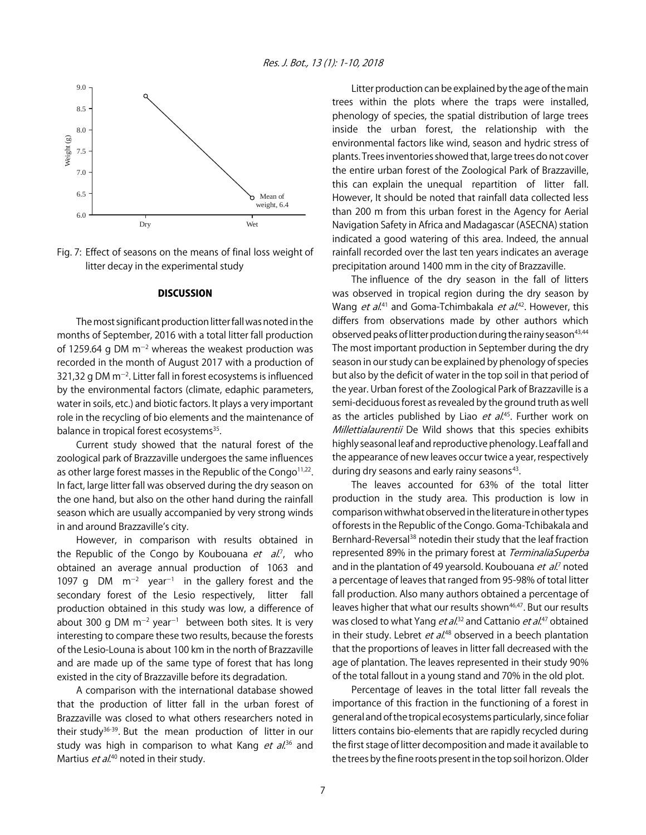

Fig. 7: Effect of seasons on the means of final loss weight of litter decay in the experimental study

#### **DISCUSSION**

The most significant production litter fall was noted in the months of September, 2016 with a total litter fall production of 1259.64 g DM  $m^{-2}$  whereas the weakest production was recorded in the month of August 2017 with a production of 321,32 g DM m<sup>-2</sup>. Litter fall in forest ecosystems is influenced by the environmental factors (climate, edaphic parameters, water in soils, etc.) and biotic factors. It plays a very important role in the recycling of bio elements and the maintenance of balance in tropical forest ecosystems<sup>35</sup>.

Current study showed that the natural forest of the zoological park of Brazzaville undergoes the same influences as other large forest masses in the Republic of the Congo<sup>11,22</sup>. In fact, large litter fall was observed during the dry season on the one hand, but also on the other hand during the rainfall season which are usually accompanied by very strong winds in and around Brazzaville's city.

However, in comparison with results obtained in the Republic of the Congo by Koubouana *et al.*<sup>7</sup>, who obtained an average annual production of 1063 and 1097 g DM  $m^{-2}$  year<sup>-1</sup> in the gallery forest and the secondary forest of the Lesio respectively, litter fall production obtained in this study was low, a difference of about 300 g DM  $m^{-2}$  year<sup>-1</sup> between both sites. It is very interesting to compare these two results, because the forests of the Lesio-Louna is about 100 km in the north of Brazzaville and are made up of the same type of forest that has long existed in the city of Brazzaville before its degradation.

A comparison with the international database showed that the production of litter fall in the urban forest of Brazzaville was closed to what others researchers noted in their study<sup>36-39</sup>. But the mean production of litter in our study was high in comparison to what Kang *et al.*<sup>36</sup> and Martius *et al.*<sup>40</sup> noted in their study.

Litter production can be explained by the age of the main trees within the plots where the traps were installed, phenology of species, the spatial distribution of large trees inside the urban forest, the relationship with the environmental factors like wind, season and hydric stress of plants. Trees inventories showed that, large trees do not cover the entire urban forest of the Zoological Park of Brazzaville, this can explain the unequal repartition of litter fall. However, It should be noted that rainfall data collected less than 200 m from this urban forest in the Agency for Aerial Navigation Safety in Africa and Madagascar (ASECNA) station indicated a good watering of this area. Indeed, the annual rainfall recorded over the last ten years indicates an average precipitation around 1400 mm in the city of Brazzaville.

The influence of the dry season in the fall of litters was observed in tropical region during the dry season by Wang *et al*.<sup>41</sup> and Goma-Tchimbakala *et al*.<sup>42</sup>. However, this differs from observations made by other authors which observed peaks of litter production during the rainy season<sup>43,44</sup> The most important production in September during the dry season in our study can be explained by phenology of species but also by the deficit of water in the top soil in that period of the year. Urban forest of the Zoological Park of Brazzaville is a semi-deciduous forest as revealed by the ground truth as well as the articles published by Liao *et al*.<sup>45</sup>. Further work on Millettialaurentii De Wild shows that this species exhibits highly seasonal leaf and reproductive phenology. Leaf fall and the appearance of new leaves occur twice a year, respectively during dry seasons and early rainy seasons<sup>43</sup>.

The leaves accounted for 63% of the total litter production in the study area. This production is low in comparison withwhat observed in the literature in other types of forests in the Republic of the Congo. Goma-Tchibakala and Bernhard-Reversal<sup>38</sup> notedin their study that the leaf fraction represented 89% in the primary forest at TerminaliaSuperba and in the plantation of 49 yearsold. Koubouana *et al.*<sup>7</sup> noted a percentage of leaves that ranged from 95-98% of total litter fall production. Also many authors obtained a percentage of leaves higher that what our results shown<sup>46,47</sup>. But our results was closed to what Yang *et al*.<sup>32</sup> and Cattanio *et al*.<sup>47</sup> obtained in their study. Lebret *et al*.<sup>48</sup> observed in a beech plantation that the proportions of leaves in litter fall decreased with the age of plantation. The leaves represented in their study 90% of the total fallout in a young stand and 70% in the old plot.

Percentage of leaves in the total litter fall reveals the importance of this fraction in the functioning of a forest in general and of the tropical ecosystems particularly, since foliar litters contains bio-elements that are rapidly recycled during the first stage of litter decomposition and made it available to the trees by the fine roots present in the top soil horizon. Older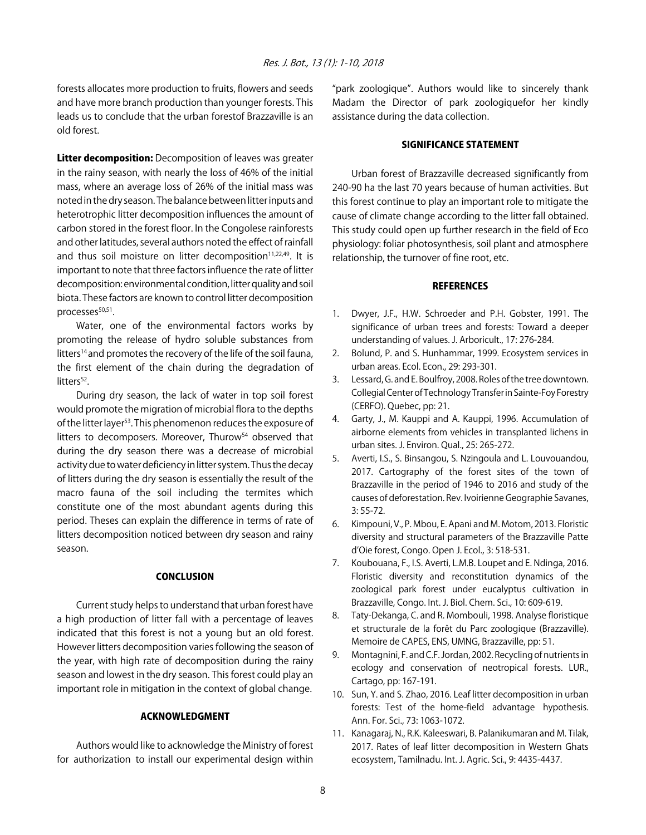forests allocates more production to fruits, flowers and seeds and have more branch production than younger forests. This leads us to conclude that the urban forestof Brazzaville is an old forest.

Litter decomposition: Decomposition of leaves was greater in the rainy season, with nearly the loss of 46% of the initial mass, where an average loss of 26% of the initial mass was noted in the dry season. The balance between litter inputs and heterotrophic litter decomposition influences the amount of carbon stored in the forest floor. In the Congolese rainforests and other latitudes, several authors noted the effect of rainfall and thus soil moisture on litter decomposition $11,22,49$ . It is important to note that three factors influence the rate of litter decomposition: environmental condition, litter quality and soil biota. These factors are known to control litter decomposition  $processes<sup>50,51</sup>$ .

Water, one of the environmental factors works by promoting the release of hydro soluble substances from litters<sup>14</sup> and promotes the recovery of the life of the soil fauna, the first element of the chain during the degradation of litters $52$ .

During dry season, the lack of water in top soil forest would promote the migration of microbial flora to the depths of the litter layer<sup>53</sup>. This phenomenon reduces the exposure of litters to decomposers. Moreover, Thurow<sup>54</sup> observed that during the dry season there was a decrease of microbial activity due to water deficiency in litter system. Thus the decay of litters during the dry season is essentially the result of the macro fauna of the soil including the termites which constitute one of the most abundant agents during this period. Theses can explain the difference in terms of rate of litters decomposition noticed between dry season and rainy season.

#### **CONCLUSION**

Current study helps to understand that urban forest have a high production of litter fall with a percentage of leaves indicated that this forest is not a young but an old forest. However litters decomposition varies following the season of the year, with high rate of decomposition during the rainy season and lowest in the dry season. This forest could play an important role in mitigation in the context of global change.

#### ACKNOWLEDGMENT

Authors would like to acknowledge the Ministry of forest for authorization to install our experimental design within "park zoologique". Authors would like to sincerely thank Madam the Director of park zoologiquefor her kindly assistance during the data collection.

#### SIGNIFICANCE STATEMENT

Urban forest of Brazzaville decreased significantly from 240-90 ha the last 70 years because of human activities. But this forest continue to play an important role to mitigate the cause of climate change according to the litter fall obtained. This study could open up further research in the field of Eco physiology: foliar photosynthesis, soil plant and atmosphere relationship, the turnover of fine root, etc.

#### **REFERENCES**

- 1. Dwyer, J.F., H.W. Schroeder and P.H. Gobster, 1991. The significance of urban trees and forests: Toward a deeper understanding of values. J. Arboricult., 17: 276-284.
- 2. Bolund, P. and S. Hunhammar, 1999. Ecosystem services in urban areas. Ecol. Econ., 29: 293-301.
- 3. Lessard, G. and E. Boulfroy, 2008. Roles of the tree downtown. Collegial Center of Technology Transfer in Sainte-Foy Forestry (CERFO). Quebec, pp: 21.
- 4. Garty, J., M. Kauppi and A. Kauppi, 1996. Accumulation of airborne elements from vehicles in transplanted lichens in urban sites. J. Environ. Qual., 25: 265-272.
- 5. Averti, I.S., S. Binsangou, S. Nzingoula and L. Louvouandou, 2017. Cartography of the forest sites of the town of Brazzaville in the period of 1946 to 2016 and study of the causes of deforestation. Rev. Ivoirienne Geographie Savanes, 3: 55-72.
- 6. Kimpouni, V., P. Mbou, E. Apani and M. Motom, 2013. Floristic diversity and structural parameters of the Brazzaville Patte d'Oie forest, Congo. Open J. Ecol., 3: 518-531.
- 7. Koubouana, F., I.S. Averti, L.M.B. Loupet and E. Ndinga, 2016. Floristic diversity and reconstitution dynamics of the zoological park forest under eucalyptus cultivation in Brazzaville, Congo. Int. J. Biol. Chem. Sci., 10: 609-619.
- 8. Taty-Dekanga, C. and R. Mombouli, 1998. Analyse floristique et structurale de la forêt du Parc zoologique (Brazzaville). Memoire de CAPES, ENS, UMNG, Brazzaville, pp: 51.
- 9. Montagnini, F. and C.F. Jordan, 2002. Recycling of nutrients in ecology and conservation of neotropical forests. LUR., Cartago, pp: 167-191.
- 10. Sun, Y. and S. Zhao, 2016. Leaf litter decomposition in urban forests: Test of the home-field advantage hypothesis. Ann. For. Sci., 73: 1063-1072.
- 11. Kanagaraj, N., R.K. Kaleeswari, B. Palanikumaran and M. Tilak, 2017. Rates of leaf litter decomposition in Western Ghats ecosystem, Tamilnadu. Int. J. Agric. Sci., 9: 4435-4437.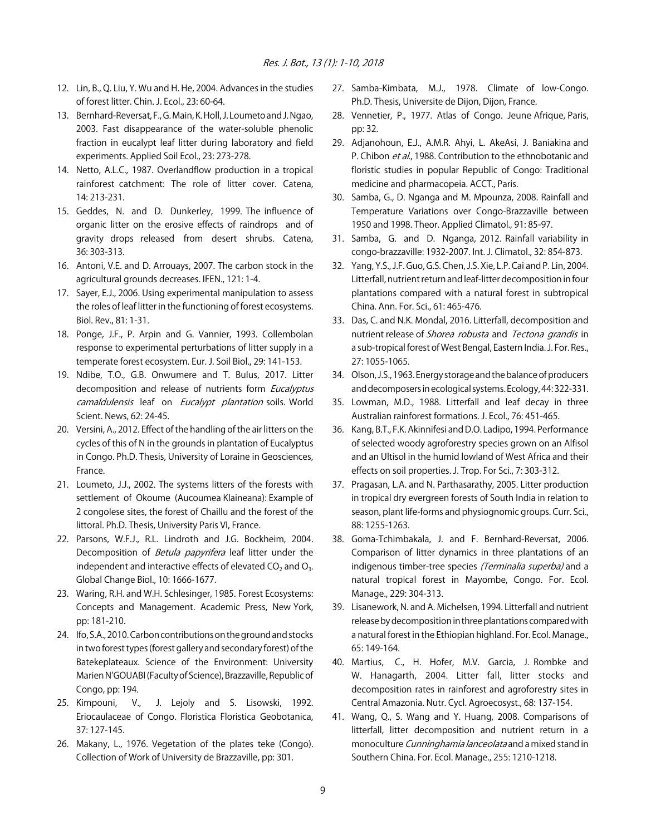- 12. Lin, B., Q. Liu, Y. Wu and H. He, 2004. Advances in the studies of forest litter. Chin. J. Ecol., 23: 60-64.
- 13. Bernhard-Reversat, F., G. Main, K. Holl, J. Loumeto and J. Ngao, 2003. Fast disappearance of the water-soluble phenolic fraction in eucalypt leaf litter during laboratory and field experiments. Applied Soil Ecol., 23: 273-278.
- 14. Netto, A.L.C., 1987. Overlandflow production in a tropical rainforest catchment: The role of litter cover. Catena, 14: 213-231.
- 15. Geddes, N. and D. Dunkerley, 1999. The influence of organic litter on the erosive effects of raindrops and of gravity drops released from desert shrubs. Catena, 36: 303-313.
- 16. Antoni, V.E. and D. Arrouays, 2007. The carbon stock in the agricultural grounds decreases. IFEN., 121: 1-4.
- 17. Sayer, E.J., 2006. Using experimental manipulation to assess the roles of leaf litter in the functioning of forest ecosystems. Biol. Rev., 81: 1-31.
- 18. Ponge, J.F., P. Arpin and G. Vannier, 1993. Collembolan response to experimental perturbations of litter supply in a temperate forest ecosystem. Eur. J. Soil Biol., 29: 141-153.
- 19. Ndibe, T.O., G.B. Onwumere and T. Bulus, 2017. Litter decomposition and release of nutrients form Eucalyptus camaldulensis leaf on Eucalypt plantation soils. World Scient. News, 62: 24-45.
- 20. Versini, A., 2012. Effect of the handling of the air litters on the cycles of this of N in the grounds in plantation of Eucalyptus in Congo. Ph.D. Thesis, University of Loraine in Geosciences, France.
- 21. Loumeto, J.J., 2002. The systems litters of the forests with settlement of Okoume (Aucoumea Klaineana): Example of 2 congolese sites, the forest of Chaillu and the forest of the littoral. Ph.D. Thesis, University Paris VI, France.
- 22. Parsons, W.F.J., R.L. Lindroth and J.G. Bockheim, 2004. Decomposition of *Betula papyrifera* leaf litter under the independent and interactive effects of elevated  $CO<sub>2</sub>$  and  $O<sub>3</sub>$ . Global Change Biol., 10: 1666-1677.
- 23. Waring, R.H. and W.H. Schlesinger, 1985. Forest Ecosystems: Concepts and Management. Academic Press, New York, pp: 181-210.
- 24. Ifo, S.A., 2010. Carbon contributions on the ground and stocks in two forest types (forest gallery and secondary forest) of the Batekeplateaux. Science of the Environment: University Marien N'GOUABI (Faculty of Science), Brazzaville, Republic of Congo, pp: 194.
- 25. Kimpouni, V., J. Lejoly and S. Lisowski, 1992. Eriocaulaceae of Congo. Floristica Floristica Geobotanica, 37: 127-145.
- 26. Makany, L., 1976. Vegetation of the plates teke (Congo). Collection of Work of University de Brazzaville, pp: 301.
- 27. Samba-Kimbata, M.J., 1978. Climate of low-Congo. Ph.D. Thesis, Universite de Dijon, Dijon, France.
- 28. Vennetier, P., 1977. Atlas of Congo. Jeune Afrique, Paris, pp: 32.
- 29. Adjanohoun, E.J., A.M.R. Ahyi, L. AkeAsi, J. Baniakina and P. Chibon et al., 1988. Contribution to the ethnobotanic and floristic studies in popular Republic of Congo: Traditional medicine and pharmacopeia. ACCT., Paris.
- 30. Samba, G., D. Nganga and M. Mpounza, 2008. Rainfall and Temperature Variations over Congo-Brazzaville between 1950 and 1998. Theor. Applied Climatol., 91: 85-97.
- 31. Samba, G. and D. Nganga, 2012. Rainfall variability in congo-brazzaville: 1932-2007. Int. J. Climatol., 32: 854-873.
- 32. Yang, Y.S., J.F. Guo, G.S. Chen, J.S. Xie, L.P. Cai and P. Lin, 2004. Litterfall, nutrient return and leaf-litter decomposition in four plantations compared with a natural forest in subtropical China. Ann. For. Sci., 61: 465-476.
- 33. Das, C. and N.K. Mondal, 2016. Litterfall, decomposition and nutrient release of Shorea robusta and Tectona grandis in a sub-tropical forest of West Bengal, Eastern India. J. For. Res., 27: 1055-1065.
- 34. Olson, J.S., 1963. Energy storage and the balance of producers and decomposers in ecological systems. Ecology, 44: 322-331.
- 35. Lowman, M.D., 1988. Litterfall and leaf decay in three Australian rainforest formations. J. Ecol., 76: 451-465.
- 36. Kang, B.T., F.K. Akinnifesi and D.O. Ladipo, 1994. Performance of selected woody agroforestry species grown on an Alfisol and an Ultisol in the humid lowland of West Africa and their effects on soil properties. J. Trop. For Sci., 7: 303-312.
- 37. Pragasan, L.A. and N. Parthasarathy, 2005. Litter production in tropical dry evergreen forests of South India in relation to season, plant life-forms and physiognomic groups. Curr. Sci., 88: 1255-1263.
- 38. Goma-Tchimbakala, J. and F. Bernhard-Reversat, 2006. Comparison of litter dynamics in three plantations of an indigenous timber-tree species (Terminalia superba) and a natural tropical forest in Mayombe, Congo. For. Ecol. Manage., 229: 304-313.
- 39. Lisanework, N. and A. Michelsen, 1994. Litterfall and nutrient release by decomposition in three plantations compared with a natural forest in the Ethiopian highland. For. Ecol. Manage., 65: 149-164.
- 40. Martius, C., H. Hofer, M.V. Garcia, J. Rombke and W. Hanagarth, 2004. Litter fall, litter stocks and decomposition rates in rainforest and agroforestry sites in Central Amazonia. Nutr. Cycl. Agroecosyst., 68: 137-154.
- 41. Wang, Q., S. Wang and Y. Huang, 2008. Comparisons of litterfall, litter decomposition and nutrient return in a monoculture Cunninghamia lanceolata and a mixed stand in Southern China. For. Ecol. Manage., 255: 1210-1218.